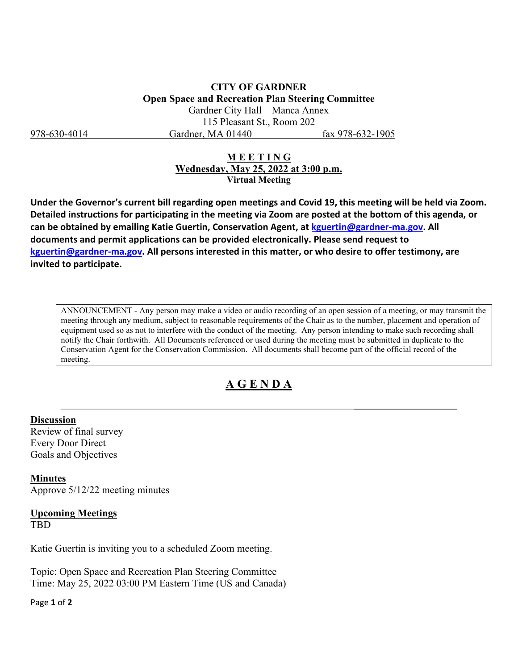**CITY OF GARDNER Open Space and Recreation Plan Steering Committee**  Gardner City Hall – Manca Annex 115 Pleasant St., Room 202 978-630-4014 Gardner, MA 01440 fax 978-632-1905

## **M E E T I N G Wednesday, May 25, 2022 at 3:00 p.m. Virtual Meeting**

**Under the Governor's current bill regarding open meetings and Covid 19, this meeting will be held via Zoom. Detailed instructions for participating in the meeting via Zoom are posted at the bottom of this agenda, or can be obtained by emailing Katie Guertin, Conservation Agent, at [kguertin@gardner-ma.gov.](mailto:kguertin@gardner-ma.gov) All documents and permit applications can be provided electronically. Please send request to [kguertin@gardner-ma.gov.](mailto:kguertin@gardner-ma.gov) All persons interested in this matter, or who desire to offer testimony, are invited to participate.**

ANNOUNCEMENT - Any person may make a video or audio recording of an open session of a meeting, or may transmit the meeting through any medium, subject to reasonable requirements of the Chair as to the number, placement and operation of equipment used so as not to interfere with the conduct of the meeting. Any person intending to make such recording shall notify the Chair forthwith. All Documents referenced or used during the meeting must be submitted in duplicate to the Conservation Agent for the Conservation Commission. All documents shall become part of the official record of the meeting.

## **A G E N D A**

## **Discussion**

Review of final survey Every Door Direct Goals and Objectives

**Minutes** Approve 5/12/22 meeting minutes

## **Upcoming Meetings TBD**

Katie Guertin is inviting you to a scheduled Zoom meeting.

Topic: Open Space and Recreation Plan Steering Committee Time: May 25, 2022 03:00 PM Eastern Time (US and Canada)

Page **1** of **2**